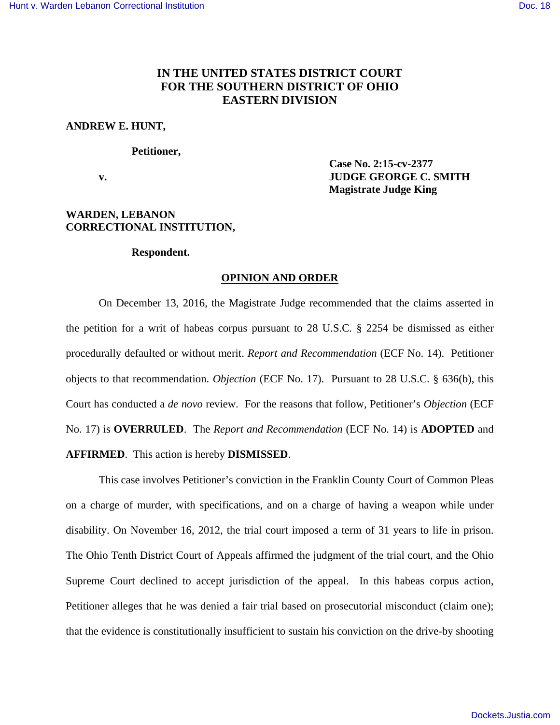# **IN THE UNITED STATES DISTRICT COURT FOR THE SOUTHERN DISTRICT OF OHIO EASTERN DIVISION**

## **ANDREW E. HUNT,**

### **Petitioner,**

 **Case No. 2:15-cv-2377 v. IUDGE GEORGE C. SMITH Magistrate Judge King** 

# **WARDEN, LEBANON CORRECTIONAL INSTITUTION,**

### **Respondent.**

### **OPINION AND ORDER**

 On December 13, 2016, the Magistrate Judge recommended that the claims asserted in the petition for a writ of habeas corpus pursuant to 28 U.S.C. § 2254 be dismissed as either procedurally defaulted or without merit. *Report and Recommendation* (ECF No. 14). Petitioner objects to that recommendation. *Objection* (ECF No. 17). Pursuant to 28 U.S.C. § 636(b), this Court has conducted a *de novo* review. For the reasons that follow, Petitioner's *Objection* (ECF No. 17) is **OVERRULED**. The *Report and Recommendation* (ECF No. 14) is **ADOPTED** and **AFFIRMED**. This action is hereby **DISMISSED**.

 This case involves Petitioner's conviction in the Franklin County Court of Common Pleas on a charge of murder, with specifications, and on a charge of having a weapon while under disability. On November 16, 2012, the trial court imposed a term of 31 years to life in prison. The Ohio Tenth District Court of Appeals affirmed the judgment of the trial court, and the Ohio Supreme Court declined to accept jurisdiction of the appeal. In this habeas corpus action, Petitioner alleges that he was denied a fair trial based on prosecutorial misconduct (claim one); that the evidence is constitutionally insufficient to sustain his conviction on the drive-by shooting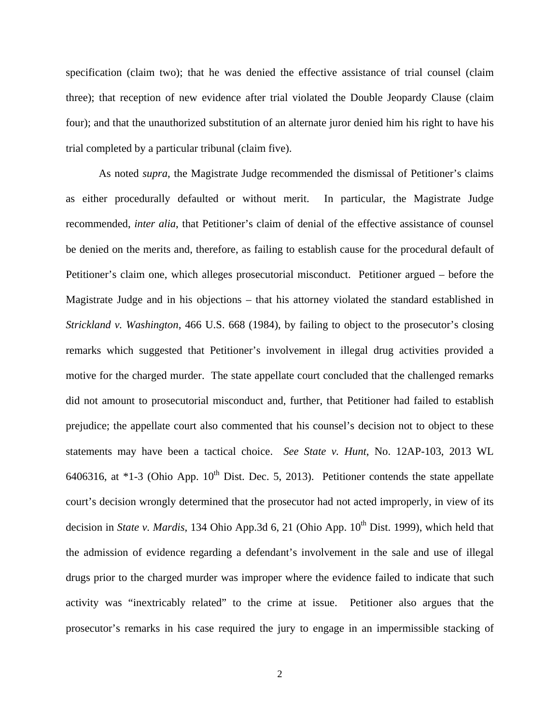specification (claim two); that he was denied the effective assistance of trial counsel (claim three); that reception of new evidence after trial violated the Double Jeopardy Clause (claim four); and that the unauthorized substitution of an alternate juror denied him his right to have his trial completed by a particular tribunal (claim five).

As noted *supra*, the Magistrate Judge recommended the dismissal of Petitioner's claims as either procedurally defaulted or without merit. In particular, the Magistrate Judge recommended, *inter alia*, that Petitioner's claim of denial of the effective assistance of counsel be denied on the merits and, therefore, as failing to establish cause for the procedural default of Petitioner's claim one, which alleges prosecutorial misconduct. Petitioner argued – before the Magistrate Judge and in his objections – that his attorney violated the standard established in *Strickland v. Washington*, 466 U.S. 668 (1984), by failing to object to the prosecutor's closing remarks which suggested that Petitioner's involvement in illegal drug activities provided a motive for the charged murder. The state appellate court concluded that the challenged remarks did not amount to prosecutorial misconduct and, further, that Petitioner had failed to establish prejudice; the appellate court also commented that his counsel's decision not to object to these statements may have been a tactical choice. *See State v. Hunt*, No. 12AP-103, 2013 WL 6406316, at  $*1-3$  (Ohio App. 10<sup>th</sup> Dist. Dec. 5, 2013). Petitioner contends the state appellate court's decision wrongly determined that the prosecutor had not acted improperly, in view of its decision in *State v. Mardis*, 134 Ohio App.3d 6, 21 (Ohio App. 10<sup>th</sup> Dist. 1999), which held that the admission of evidence regarding a defendant's involvement in the sale and use of illegal drugs prior to the charged murder was improper where the evidence failed to indicate that such activity was "inextricably related" to the crime at issue. Petitioner also argues that the prosecutor's remarks in his case required the jury to engage in an impermissible stacking of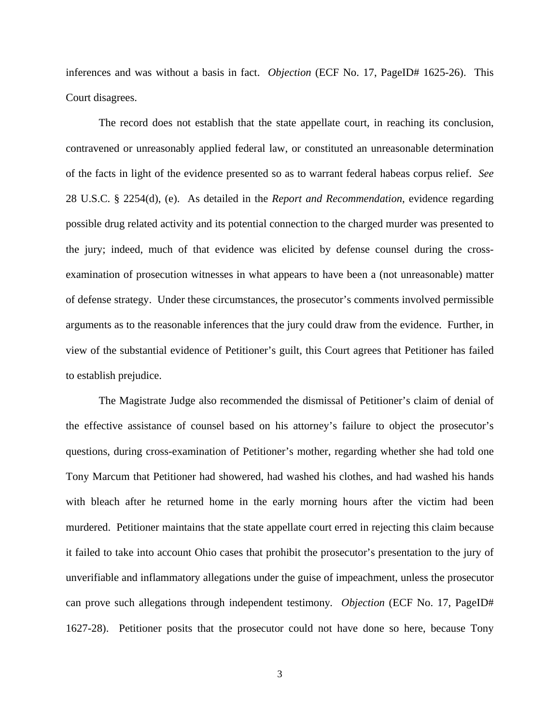inferences and was without a basis in fact. *Objection* (ECF No. 17, PageID# 1625-26). This Court disagrees.

The record does not establish that the state appellate court, in reaching its conclusion, contravened or unreasonably applied federal law, or constituted an unreasonable determination of the facts in light of the evidence presented so as to warrant federal habeas corpus relief. *See* 28 U.S.C. § 2254(d), (e). As detailed in the *Report and Recommendation*, evidence regarding possible drug related activity and its potential connection to the charged murder was presented to the jury; indeed, much of that evidence was elicited by defense counsel during the crossexamination of prosecution witnesses in what appears to have been a (not unreasonable) matter of defense strategy. Under these circumstances, the prosecutor's comments involved permissible arguments as to the reasonable inferences that the jury could draw from the evidence. Further, in view of the substantial evidence of Petitioner's guilt, this Court agrees that Petitioner has failed to establish prejudice.

 The Magistrate Judge also recommended the dismissal of Petitioner's claim of denial of the effective assistance of counsel based on his attorney's failure to object the prosecutor's questions, during cross-examination of Petitioner's mother, regarding whether she had told one Tony Marcum that Petitioner had showered, had washed his clothes, and had washed his hands with bleach after he returned home in the early morning hours after the victim had been murdered. Petitioner maintains that the state appellate court erred in rejecting this claim because it failed to take into account Ohio cases that prohibit the prosecutor's presentation to the jury of unverifiable and inflammatory allegations under the guise of impeachment, unless the prosecutor can prove such allegations through independent testimony*. Objection* (ECF No. 17, PageID# 1627-28). Petitioner posits that the prosecutor could not have done so here, because Tony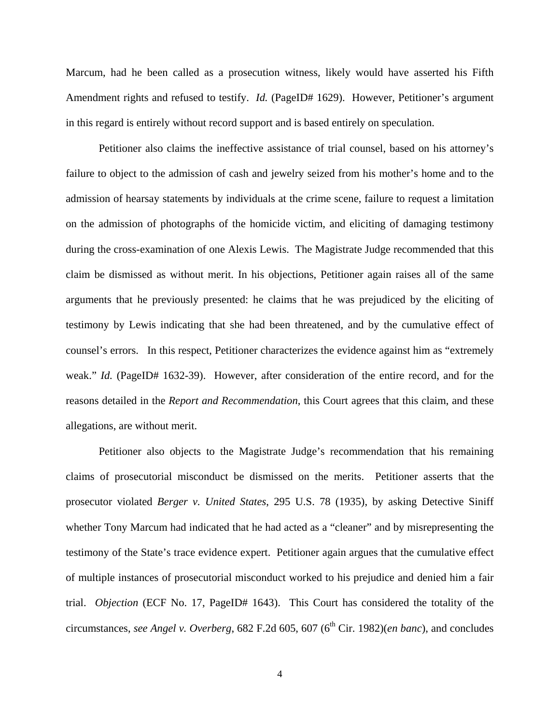Marcum, had he been called as a prosecution witness, likely would have asserted his Fifth Amendment rights and refused to testify. *Id.* (PageID# 1629). However, Petitioner's argument in this regard is entirely without record support and is based entirely on speculation.

 Petitioner also claims the ineffective assistance of trial counsel, based on his attorney's failure to object to the admission of cash and jewelry seized from his mother's home and to the admission of hearsay statements by individuals at the crime scene, failure to request a limitation on the admission of photographs of the homicide victim, and eliciting of damaging testimony during the cross-examination of one Alexis Lewis. The Magistrate Judge recommended that this claim be dismissed as without merit. In his objections, Petitioner again raises all of the same arguments that he previously presented: he claims that he was prejudiced by the eliciting of testimony by Lewis indicating that she had been threatened, and by the cumulative effect of counsel's errors. In this respect, Petitioner characterizes the evidence against him as "extremely weak." *Id.* (PageID# 1632-39). However, after consideration of the entire record, and for the reasons detailed in the *Report and Recommendation*, this Court agrees that this claim, and these allegations, are without merit.

 Petitioner also objects to the Magistrate Judge's recommendation that his remaining claims of prosecutorial misconduct be dismissed on the merits. Petitioner asserts that the prosecutor violated *Berger v. United States*, 295 U.S. 78 (1935), by asking Detective Siniff whether Tony Marcum had indicated that he had acted as a "cleaner" and by misrepresenting the testimony of the State's trace evidence expert. Petitioner again argues that the cumulative effect of multiple instances of prosecutorial misconduct worked to his prejudice and denied him a fair trial. *Objection* (ECF No. 17, PageID# 1643). This Court has considered the totality of the circumstances, *see Angel v. Overberg*, 682 F.2d 605, 607 (6<sup>th</sup> Cir. 1982)(*en banc*), and concludes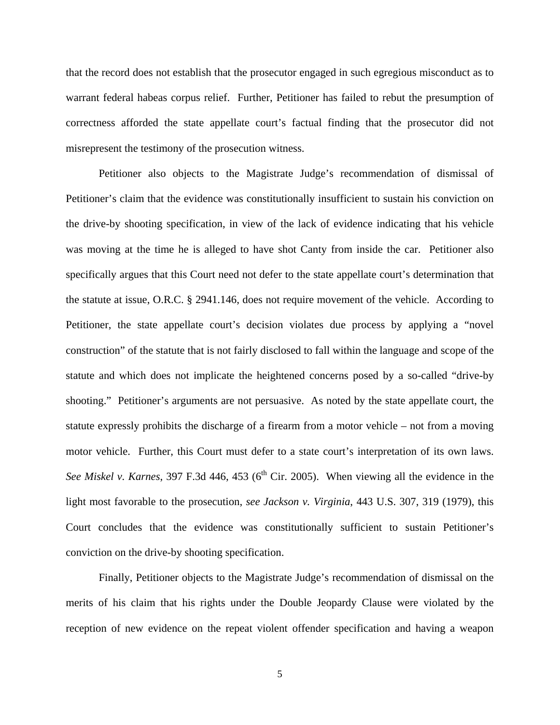that the record does not establish that the prosecutor engaged in such egregious misconduct as to warrant federal habeas corpus relief. Further, Petitioner has failed to rebut the presumption of correctness afforded the state appellate court's factual finding that the prosecutor did not misrepresent the testimony of the prosecution witness.

 Petitioner also objects to the Magistrate Judge's recommendation of dismissal of Petitioner's claim that the evidence was constitutionally insufficient to sustain his conviction on the drive-by shooting specification, in view of the lack of evidence indicating that his vehicle was moving at the time he is alleged to have shot Canty from inside the car. Petitioner also specifically argues that this Court need not defer to the state appellate court's determination that the statute at issue, O.R.C. § 2941.146, does not require movement of the vehicle. According to Petitioner, the state appellate court's decision violates due process by applying a "novel construction" of the statute that is not fairly disclosed to fall within the language and scope of the statute and which does not implicate the heightened concerns posed by a so-called "drive-by shooting." Petitioner's arguments are not persuasive. As noted by the state appellate court, the statute expressly prohibits the discharge of a firearm from a motor vehicle – not from a moving motor vehicle. Further, this Court must defer to a state court's interpretation of its own laws. *See Miskel v. Karnes*, 397 F.3d 446, 453 (6<sup>th</sup> Cir. 2005). When viewing all the evidence in the light most favorable to the prosecution, *see Jackson v. Virginia*, 443 U.S. 307, 319 (1979), this Court concludes that the evidence was constitutionally sufficient to sustain Petitioner's conviction on the drive-by shooting specification.

 Finally, Petitioner objects to the Magistrate Judge's recommendation of dismissal on the merits of his claim that his rights under the Double Jeopardy Clause were violated by the reception of new evidence on the repeat violent offender specification and having a weapon